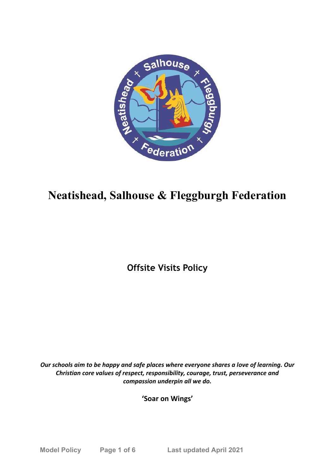

# **Neatishead, Salhouse & Fleggburgh Federation**

**Offsite Visits Policy**

*Our schools aim to be happy and safe places where everyone shares a love of learning. Our Christian core values of respect, responsibility, courage, trust, perseverance and compassion underpin all we do.*

**'Soar on Wings'**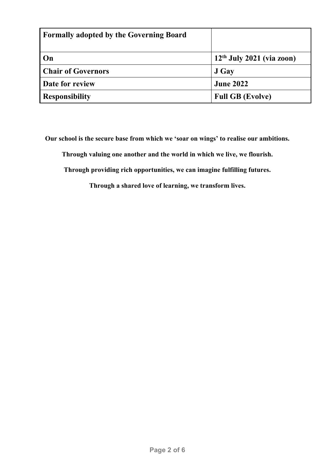| <b>Formally adopted by the Governing Board</b> |                             |
|------------------------------------------------|-----------------------------|
| On                                             | $12th$ July 2021 (via zoon) |
| <b>Chair of Governors</b>                      | J Gay                       |
| Date for review                                | <b>June 2022</b>            |
| <b>Responsibility</b>                          | <b>Full GB (Evolve)</b>     |

**Our school is the secure base from which we 'soar on wings' to realise our ambitions.**

**Through valuing one another and the world in which we live, we flourish.**

**Through providing rich opportunities, we can imagine fulfilling futures.**

**Through a shared love of learning, we transform lives.**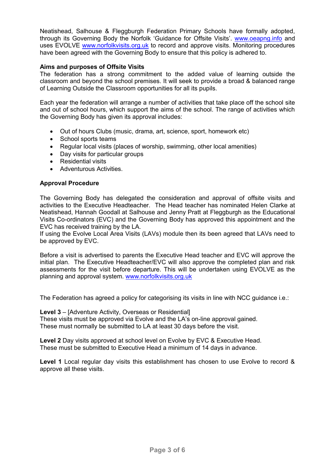Neatishead, Salhouse & Fleggburgh Federation Primary Schools have formally adopted, through its Governing Body the Norfolk 'Guidance for Offsite Visits'. [www.oeapng.info](http://www.oeapng.info/) and uses EVOLVE [www.norfolkvisits.org.uk](http://www.norfolkvisits.org.uk/) to record and approve visits. Monitoring procedures have been agreed with the Governing Body to ensure that this policy is adhered to.

## **Aims and purposes of Offsite Visits**

The federation has a strong commitment to the added value of learning outside the classroom and beyond the school premises. It will seek to provide a broad & balanced range of Learning Outside the Classroom opportunities for all its pupils.

Each year the federation will arrange a number of activities that take place off the school site and out of school hours, which support the aims of the school. The range of activities which the Governing Body has given its approval includes:

- Out of hours Clubs (music, drama, art, science, sport, homework etc)
- School sports teams
- Regular local visits (places of worship, swimming, other local amenities)
- Day visits for particular groups
- Residential visits
- Adventurous Activities.

# **Approval Procedure**

The Governing Body has delegated the consideration and approval of offsite visits and activities to the Executive Headteacher. The Head teacher has nominated Helen Clarke at Neatishead, Hannah Goodall at Salhouse and Jenny Pratt at Fleggburgh as the Educational Visits Co-ordinators (EVC) and the Governing Body has approved this appointment and the EVC has received training by the LA.

If using the Evolve Local Area Visits (LAVs) module then its been agreed that LAVs need to be approved by EVC.

Before a visit is advertised to parents the Executive Head teacher and EVC will approve the initial plan. The Executive Headteacher/EVC will also approve the completed plan and risk assessments for the visit before departure. This will be undertaken using EVOLVE as the planning and approval system. [www.norfolkvisits.org.uk](http://www.norfolkvisits.org.uk/)

The Federation has agreed a policy for categorising its visits in line with NCC guidance i.e.:

**Level 3** – [Adventure Activity, Overseas or Residential]

These visits must be approved via Evolve and the LA's on-line approval gained. These must normally be submitted to LA at least 30 days before the visit.

**Level 2** Day visits approved at school level on Evolve by EVC & Executive Head. These must be submitted to Executive Head a minimum of 14 days in advance.

**Level 1** Local regular day visits this establishment has chosen to use Evolve to record & approve all these visits.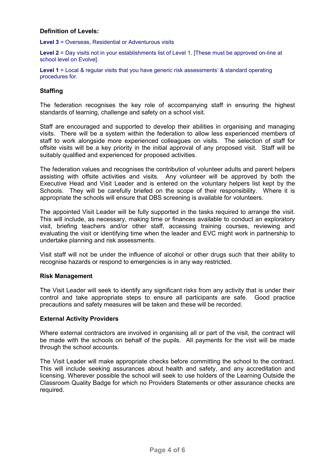## **Definition of Levels:**

**Level 3** = Overseas, Residential or Adventurous visits

**Level 2** = Day visits not in your establishments list of Level 1. [These must be approved on-line at school level on Evolve].

Level 1 = Local & regular visits that you have generic risk assessments' & standard operating procedures for.

## **Staffing**

The federation recognises the key role of accompanying staff in ensuring the highest standards of learning, challenge and safety on a school visit.

Staff are encouraged and supported to develop their abilities in organising and managing visits. There will be a system within the federation to allow less experienced members of staff to work alongside more experienced colleagues on visits. The selection of staff for offsite visits will be a key priority in the initial approval of any proposed visit. Staff will be suitably qualified and experienced for proposed activities.

The federation values and recognises the contribution of volunteer adults and parent helpers assisting with offsite activities and visits. Any volunteer will be approved by both the Executive Head and Visit Leader and is entered on the voluntary helpers list kept by the Schools. They will be carefully briefed on the scope of their responsibility. Where it is appropriate the schools will ensure that DBS screening is available for volunteers.

The appointed Visit Leader will be fully supported in the tasks required to arrange the visit. This will include, as necessary, making time or finances available to conduct an exploratory visit, briefing teachers and/or other staff, accessing training courses, reviewing and evaluating the visit or identifying time when the leader and EVC might work in partnership to undertake planning and risk assessments.

Visit staff will not be under the influence of alcohol or other drugs such that their ability to recognise hazards or respond to emergencies is in any way restricted.

## **Risk Management**

The Visit Leader will seek to identify any significant risks from any activity that is under their control and take appropriate steps to ensure all participants are safe. Good practice precautions and safety measures will be taken and these will be recorded.

#### **External Activity Providers**

Where external contractors are involved in organising all or part of the visit, the contract will be made with the schools on behalf of the pupils. All payments for the visit will be made through the school accounts.

The Visit Leader will make appropriate checks before committing the school to the contract. This will include seeking assurances about health and safety, and any accreditation and licensing. Wherever possible the school will seek to use holders of the Learning Outside the Classroom Quality Badge for which no Providers Statements or other assurance checks are required.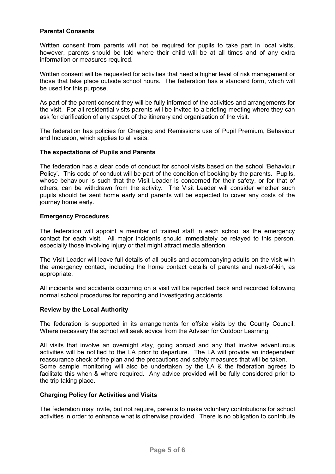## **Parental Consents**

Written consent from parents will not be required for pupils to take part in local visits, however, parents should be told where their child will be at all times and of any extra information or measures required.

Written consent will be requested for activities that need a higher level of risk management or those that take place outside school hours. The federation has a standard form, which will be used for this purpose.

As part of the parent consent they will be fully informed of the activities and arrangements for the visit. For all residential visits parents will be invited to a briefing meeting where they can ask for clarification of any aspect of the itinerary and organisation of the visit.

The federation has policies for Charging and Remissions use of Pupil Premium, Behaviour and Inclusion, which applies to all visits.

#### **The expectations of Pupils and Parents**

The federation has a clear code of conduct for school visits based on the school 'Behaviour Policy'. This code of conduct will be part of the condition of booking by the parents. Pupils, whose behaviour is such that the Visit Leader is concerned for their safety, or for that of others, can be withdrawn from the activity. The Visit Leader will consider whether such pupils should be sent home early and parents will be expected to cover any costs of the journey home early.

#### **Emergency Procedures**

The federation will appoint a member of trained staff in each school as the emergency contact for each visit. All major incidents should immediately be relayed to this person, especially those involving injury or that might attract media attention.

The Visit Leader will leave full details of all pupils and accompanying adults on the visit with the emergency contact, including the home contact details of parents and next-of-kin, as appropriate.

All incidents and accidents occurring on a visit will be reported back and recorded following normal school procedures for reporting and investigating accidents.

#### **Review by the Local Authority**

The federation is supported in its arrangements for offsite visits by the County Council. Where necessary the school will seek advice from the Adviser for Outdoor Learning.

All visits that involve an overnight stay, going abroad and any that involve adventurous activities will be notified to the LA prior to departure. The LA will provide an independent reassurance check of the plan and the precautions and safety measures that will be taken. Some sample monitoring will also be undertaken by the LA & the federation agrees to facilitate this when & where required. Any advice provided will be fully considered prior to the trip taking place.

#### **Charging Policy for Activities and Visits**

The federation may invite, but not require, parents to make voluntary contributions for school activities in order to enhance what is otherwise provided. There is no obligation to contribute